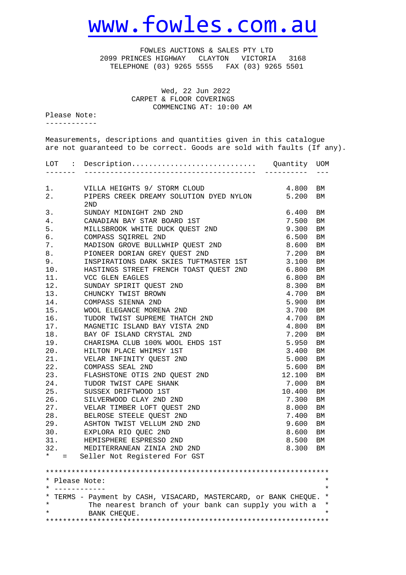## [www.fowles.com.au](http://www.fowles.com.au/)

 FOWLES AUCTIONS & SALES PTY LTD 2099 PRINCES HIGHWAY CLAYTON VICTORIA 3168 TELEPHONE (03) 9265 5555 FAX (03) 9265 5501

> Wed, 22 Jun 2022 CARPET & FLOOR COVERINGS COMMENCING AT: 10:00 AM

Please Note:

------------

Measurements, descriptions and quantities given in this catalogue are not guaranteed to be correct. Goods are sold with faults (If any).

|          | LOT : Description Quantity UOM                                          |        |            |
|----------|-------------------------------------------------------------------------|--------|------------|
|          |                                                                         |        |            |
| 1.       | VILLA HEIGHTS 9/ STORM CLOUD                                            | 4.800  | ΒM         |
| 2.       | PIPERS CREEK DREAMY SOLUTION DYED NYLON<br>2ND                          | 5.200  | BM         |
| 3.       | SUNDAY MIDNIGHT 2ND 2ND                                                 | 6.400  | BM         |
| 4.       | CANADIAN BAY STAR BOARD 1ST                                             | 7.500  | BM         |
| 5.       | MILLSBROOK WHITE DUCK QUEST 2ND                                         | 9.300  | BM         |
| б.       | COMPASS SQIRREL 2ND                                                     | 6.500  | BM         |
| 7.       | MADISON GROVE BULLWHIP QUEST 2ND                                        | 8.600  | BM         |
| 8.       | PIONEER DORIAN GREY QUEST 2ND<br>INSPIRATIONS DARK SKIES TUFTMASTER 1ST | 7.200  | BM         |
| 9.       |                                                                         | 3.100  | BM         |
| 10.      | HASTINGS STREET FRENCH TOAST QUEST 2ND                                  | 6.800  | ΒM         |
| 11.      | VCC GLEN EAGLES                                                         | 6.800  | BM         |
| 12.      | SUNDAY SPIRIT QUEST 2ND                                                 | 8.300  | BM         |
| 13.      | CHUNCKY TWIST BROWN                                                     | 4.700  | ΒM         |
| 14.      | COMPASS SIENNA 2ND                                                      | 5.900  | ΒM         |
| 15.      | WOOL ELEGANCE MORENA 2ND                                                | 3.700  | BM         |
| 16.      | TUDOR TWIST SUPREME THATCH 2ND                                          | 4.700  | BM         |
| 17.      | MAGNETIC ISLAND BAY VISTA 2ND                                           | 4.800  | BM         |
| 18.      | BAY OF ISLAND CRYSTAL 2ND                                               | 7.200  | BM         |
| 19.      | CHARISMA CLUB 100% WOOL EHDS 1ST                                        | 5.950  | BM         |
| 20.      | HILTON PLACE WHIMSY 1ST                                                 | 3.400  | BM         |
| 21.      | VELAR INFINITY QUEST 2ND                                                | 5.000  | BM         |
| 22.      | COMPASS SEAL 2ND                                                        | 5.600  | BM         |
| 23.      | FLASHSTONE OTIS 2ND QUEST 2ND                                           | 12.100 | BM         |
| 24.      | TUDOR TWIST CAPE SHANK                                                  | 7.000  | ΒM         |
| 25.      | SUSSEX DRIFTWOOD 1ST                                                    | 10.400 | ${\rm BM}$ |
| 26.      | SILVERWOOD CLAY 2ND 2ND                                                 | 7.300  | ${\rm BM}$ |
| 27.      | VELAR TIMBER LOFT QUEST 2ND                                             | 8.000  | ${\rm BM}$ |
|          | 28. BELROSE STEELE QUEST 2ND                                            | 7.400  | BM         |
|          | 29. ASHTON TWIST VELLUM 2ND 2ND                                         | 9.600  | BM         |
|          | 30. EXPLORA RIO QUEC 2ND                                                | 8.600  | BM         |
|          | 31. HEMISPHERE ESPRESSO 2ND                                             | 8.500  | BM         |
|          | 32. MEDITERRANEAN ZINIA 2ND 2ND                                         | 8.300  | BM         |
| $\star$  | = Seller Not Registered For GST                                         |        |            |
|          |                                                                         |        |            |
|          | Please Note:                                                            |        |            |
|          |                                                                         |        | $^\star$   |
|          | TERMS - Payment by CASH, VISACARD, MASTERCARD, or BANK CHEQUE.          |        | *          |
| $^\star$ | The nearest branch of your bank can supply you with a                   |        | *          |
|          | BANK CHEQUE.                                                            |        |            |
|          |                                                                         |        |            |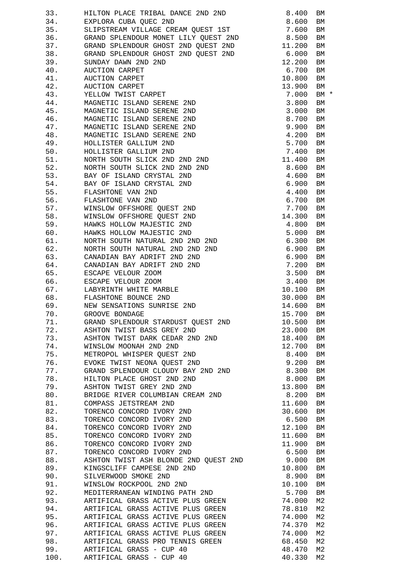| 33.  | HILTON PLACE TRIBAL DANCE 2ND 2ND     | 8.400  | BM             |
|------|---------------------------------------|--------|----------------|
| 34.  | EXPLORA CUBA QUEC 2ND                 | 8.600  | BM             |
| 35.  | SLIPSTREAM VILLAGE CREAM QUEST 1ST    | 7.600  | BM             |
| 36.  | GRAND SPLENDOUR MONET LILY QUEST 2ND  | 8.500  | ΒM             |
| 37.  | GRAND SPLENDOUR GHOST 2ND QUEST 2ND   | 11.200 | ΒM             |
| 38.  | GRAND SPLENDOUR GHOST 2ND QUEST 2ND   | 6.000  | BM             |
| 39.  | SUNDAY DAWN 2ND 2ND                   | 12.200 | BM             |
| 40.  | AUCTION CARPET                        | 6.700  | BM             |
| 41.  | AUCTION CARPET                        | 10.800 | ΒM             |
| 42.  | AUCTION CARPET                        | 13.900 | ΒM             |
| 43.  | YELLOW TWIST CARPET                   | 7.000  | $BM *$         |
| 44.  | MAGNETIC ISLAND SERENE 2ND            | 3.800  | ΒM             |
| 45.  | MAGNETIC ISLAND SERENE 2ND            | 3.000  | BM             |
| 46.  | MAGNETIC ISLAND SERENE 2ND            | 8.700  | BM             |
| 47.  | MAGNETIC ISLAND SERENE 2ND            | 9.900  | BM             |
| 48.  | MAGNETIC ISLAND SERENE 2ND            | 4.200  | BM             |
| 49.  | HOLLISTER GALLIUM 2ND                 | 5.700  |                |
|      |                                       |        | BM             |
| 50.  | HOLLISTER GALLIUM 2ND                 | 7.400  | BM             |
| 51.  | NORTH SOUTH SLICK 2ND 2ND 2ND         | 11.400 | ${\rm BM}$     |
| 52.  | NORTH SOUTH SLICK 2ND 2ND 2ND         | 8.600  | ΒM             |
| 53.  | BAY OF ISLAND CRYSTAL 2ND             | 4.600  | BM             |
| 54.  | BAY OF ISLAND CRYSTAL 2ND             | 6.900  | BM             |
| 55.  | FLASHTONE VAN 2ND                     | 4.400  | ΒM             |
| 56.  | FLASHTONE VAN 2ND                     | 6.700  | ${\rm BM}$     |
| 57.  | WINSLOW OFFSHORE QUEST 2ND            | 7.700  | ${\rm BM}$     |
| 58.  | WINSLOW OFFSHORE QUEST 2ND            | 14.300 | ${\rm BM}$     |
| 59.  | HAWKS HOLLOW MAJESTIC 2ND             | 4.800  | ${\rm BM}$     |
| 60.  | HAWKS HOLLOW MAJESTIC 2ND             | 5.000  | ${\rm BM}$     |
| 61.  | NORTH SOUTH NATURAL 2ND 2ND 2ND       | 6.300  | ${\rm BM}$     |
| 62.  | NORTH SOUTH NATURAL 2ND 2ND 2ND       | 6.900  | ${\rm BM}$     |
| 63.  | CANADIAN BAY ADRIFT 2ND 2ND           | 6.900  | ${\rm BM}$     |
| 64.  | CANADIAN BAY ADRIFT 2ND 2ND           | 7.200  | ${\rm BM}$     |
| 65.  | ESCAPE VELOUR ZOOM                    | 3.500  | ${\rm BM}$     |
| 66.  | ESCAPE VELOUR ZOOM                    | 3.400  | ${\rm BM}$     |
| 67.  | LABYRINTH WHITE MARBLE                | 10.100 | ${\rm BM}$     |
| 68.  | FLASHTONE BOUNCE 2ND                  | 30.000 | ΒM             |
| 69.  | NEW SENSATIONS SUNRISE 2ND            | 14.600 | BM             |
| 70.  | GROOVE BONDAGE                        | 15.700 | ${\rm BM}$     |
| 71.  | GRAND SPLENDOUR STARDUST QUEST 2ND    | 10.500 | BM             |
| 72.  | ASHTON TWIST BASS GREY 2ND            | 23.000 | ${\rm BM}$     |
| 73.  | ASHTON TWIST DARK CEDAR 2ND 2ND       | 18.400 | BM             |
| 74.  | WINSLOW MOONAH 2ND 2ND                | 12.700 | BM             |
| 75.  | METROPOL WHISPER QUEST 2ND            | 8.400  | BM             |
| 76.  | EVOKE TWIST NEONA QUEST 2ND           | 9.200  | ${\rm BM}$     |
| 77.  | GRAND SPLENDOUR CLOUDY BAY 2ND 2ND    | 8.300  | ${\rm BM}$     |
| 78.  | HILTON PLACE GHOST 2ND 2ND            | 8.000  | ${\rm BM}$     |
| 79.  | ASHTON TWIST GREY 2ND 2ND             | 13.800 | ${\rm BM}$     |
| 80.  | BRIDGE RIVER COLUMBIAN CREAM 2ND      | 8.200  | ${\rm BM}$     |
| 81.  | COMPASS JETSTREAM 2ND                 | 11.600 | ${\rm BM}$     |
| 82.  |                                       |        |                |
|      | TORENCO CONCORD IVORY 2ND             | 30.600 | ${\rm BM}$     |
| 83.  | TORENCO CONCORD IVORY 2ND             | 6.500  | ${\rm BM}$     |
| 84.  | TORENCO CONCORD IVORY 2ND             | 12.100 | ${\rm BM}$     |
| 85.  | TORENCO CONCORD IVORY 2ND             | 11.600 | ${\rm BM}$     |
| 86.  | TORENCO CONCORD IVORY 2ND             | 11.900 | ${\rm BM}$     |
| 87.  | TORENCO CONCORD IVORY 2ND             | 6.500  | ${\rm BM}$     |
| 88.  | ASHTON TWIST ASH BLONDE 2ND QUEST 2ND | 9.000  | ${\rm BM}$     |
| 89.  | KINGSCLIFF CAMPESE 2ND 2ND            | 10.800 | BM             |
| 90.  | SILVERWOOD SMOKE 2ND                  | 8.900  | ${\rm BM}$     |
| 91.  | WINSLOW ROCKPOOL 2ND 2ND              | 10.100 | BM             |
| 92.  | MEDITERRANEAN WINDING PATH 2ND        | 5.700  | ${\rm BM}$     |
| 93.  | ARTIFICAL GRASS ACTIVE PLUS GREEN     | 74.000 | M <sub>2</sub> |
| 94.  | ARTIFICAL GRASS ACTIVE PLUS GREEN     | 78.810 | M <sub>2</sub> |
| 95.  | ARTIFICAL GRASS ACTIVE PLUS GREEN     | 74.000 | M <sub>2</sub> |
| 96.  | ARTIFICAL GRASS ACTIVE PLUS GREEN     | 74.370 | M <sub>2</sub> |
| 97.  | ARTIFICAL GRASS ACTIVE PLUS GREEN     | 74.000 | M <sub>2</sub> |
| 98.  | ARTIFICAL GRASS PRO TENNIS GREEN      | 68.450 | M <sub>2</sub> |
| 99.  | ARTIFICAL GRASS - CUP 40              | 48.470 | M <sub>2</sub> |
| 100. | ARTIFICAL GRASS - CUP 40              | 40.330 | M2             |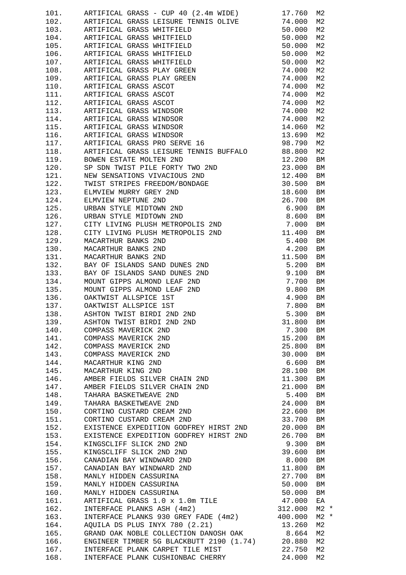| 101. | ARTIFICAL GRASS - CUP 40 (2.4m WIDE)                    | 17.760   | М2             |
|------|---------------------------------------------------------|----------|----------------|
|      |                                                         |          |                |
| 102. | ARTIFICAL GRASS LEISURE TENNIS OLIVE 74.000             |          | M2             |
| 103. | ARTIFICAL GRASS WHITFIELD                               | 50.000   | M2             |
| 104. | ARTIFICAL GRASS WHITFIELD                               | 50.000   | M2             |
| 105. | ARTIFICAL GRASS WHITFIELD                               | 50.000   | M <sub>2</sub> |
|      |                                                         |          |                |
| 106. | ARTIFICAL GRASS WHITFIELD                               | 50.000   | M <sub>2</sub> |
| 107. | ARTIFICAL GRASS WHITFIELD                               | 50.000   | M <sub>2</sub> |
| 108. | ARTIFICAL GRASS PLAY GREEN                              | 74.000   | M2             |
| 109. | ARTIFICAL GRASS PLAY GREEN                              | 74.000   | M2             |
|      |                                                         |          |                |
| 110. | ARTIFICAL GRASS ASCOT                                   | 74.000   | M <sub>2</sub> |
| 111. | ARTIFICAL GRASS ASCOT                                   | 74.000   | M <sub>2</sub> |
| 112. | ARTIFICAL GRASS ASCOT                                   | 74.000   | M2             |
| 113. | ARTIFICAL GRASS WINDSOR                                 | 74.000   | M2             |
|      |                                                         |          |                |
| 114. | ARTIFICAL GRASS WINDSOR                                 | 74.000   | M <sub>2</sub> |
| 115. | ARTIFICAL GRASS WINDSOR                                 | 14.060   | M <sub>2</sub> |
| 116. | ARTIFICAL GRASS WINDSOR                                 | 13.690   | M <sub>2</sub> |
| 117. | ARTIFICAL GRASS PRO SERVE 16                            | 98.790   | M <sub>2</sub> |
|      |                                                         |          |                |
| 118. | ARTIFICAL GRASS LEISURE TENNIS BUFFALO                  | 88.800   | M <sub>2</sub> |
| 119. | BOWEN ESTATE MOLTEN 2ND                                 | 12.200   | BM             |
| 120. | SP SDN TWIST PILE FORTY TWO 2ND                         | 23.000   | BM             |
| 121. | NEW SENSATIONS VIVACIOUS 2ND                            | 12.400   | BM             |
|      |                                                         |          |                |
| 122. | TWIST STRIPES FREEDOM/BONDAGE<br>ELMVIEW MURRY GREY 2ND | 30.500   | BM             |
| 123. | ELMVIEW MURRY GREY 2ND                                  | 18.600   | BM             |
| 124. | ELMVIEW NEPTUNE 2ND                                     | 26.700   | BM             |
| 125. | URBAN STYLE MIDTOWN 2ND                                 | 6.900    | BM             |
|      |                                                         |          |                |
| 126. | URBAN STYLE MIDTOWN 2ND                                 | 8.600    | BM             |
| 127. | CITY LIVING PLUSH METROPOLIS 2ND                        | 7.000    | BM             |
| 128. | CITY LIVING PLUSH METROPOLIS 2ND                        | 11.400   | BM             |
| 129. | MACARTHUR BANKS 2ND                                     | 5.400    | BM             |
| 130. |                                                         | 4.200    |                |
|      | MACARTHUR BANKS 2ND                                     |          | BM             |
| 131. | MACARTHUR BANKS 2ND                                     | 11.500   | BM             |
| 132. | BAY OF ISLANDS SAND DUNES 2ND                           | 5.200    | BM             |
| 133. | BAY OF ISLANDS SAND DUNES 2ND                           | 9.100    | BM             |
| 134. | MOUNT GIPPS ALMOND LEAF 2ND                             |          |                |
|      |                                                         | 7.700    | BM             |
| 135. | MOUNT GIPPS ALMOND LEAF 2ND                             | 9.800    | BM             |
| 136. | OAKTWIST ALLSPICE 1ST                                   | 4.900    | BM             |
| 137. | OAKTWIST ALLSPICE 1ST                                   | 7.800    | BM             |
|      |                                                         | 5.300 BM |                |
| 138. | ASHTON TWIST BIRDI 2ND 2ND                              |          |                |
| 139. | ASHTON TWIST BIRDI 2ND 2ND                              | 31.800   | BM             |
| 140. | COMPASS MAVERICK 2ND                                    | 7.300    | BM             |
| 141. | COMPASS MAVERICK 2ND                                    | 15.200   | BM             |
| 142. |                                                         |          |                |
|      | COMPASS MAVERICK 2ND                                    | 25.800   | BM             |
| 143. | COMPASS MAVERICK 2ND                                    | 30.000   | BM             |
| 144. | MACARTHUR KING 2ND                                      | 6.600    | BM             |
| 145. | MACARTHUR KING 2ND                                      | 28.100   | BM             |
| 146. |                                                         |          |                |
|      | AMBER FIELDS SILVER CHAIN 2ND                           | 11.300   | BM             |
| 147. | AMBER FIELDS SILVER CHAIN 2ND                           | 21.000   | BM             |
| 148. | TAHARA BASKETWEAVE 2ND                                  | 5.400    | BM             |
| 149. | TAHARA BASKETWEAVE 2ND                                  | 24.000   | BM             |
| 150. |                                                         |          |                |
|      | CORTINO CUSTARD CREAM 2ND                               | 22.600   | BM             |
|      | 151. CORTINO CUSTARD CREAM 2ND                          | 33.700   | BM             |
| 152. | EXISTENCE EXPEDITION GODFREY HIRST 2ND                  | 20.000   | BM             |
| 153. | EXISTENCE EXPEDITION GODFREY HIRST 2ND                  | 26.700   | BM             |
| 154. |                                                         |          |                |
|      | KINGSCLIFF SLICK 2ND 2ND                                | 9.300    | BM             |
| 155. | KINGSCLIFF SLICK 2ND 2ND                                | 39.600   | BM             |
|      | 156. CANADIAN BAY WINDWARD 2ND                          | 8.000    | BM             |
|      | 157. CANADIAN BAY WINDWARD 2ND                          | 11.800   | BM             |
| 158. | MANLY HIDDEN CASSURINA                                  | 27.700   | ΒM             |
|      |                                                         |          |                |
| 159. | MANLY HIDDEN CASSURINA                                  | 50.000   | ${\rm BM}$     |
| 160. | MANLY HIDDEN CASSURINA                                  | 50.000   | ${\rm BM}$     |
| 161. | ARTIFICAL GRASS 1.0 x 1.0m TILE                         | 47.000   | ΕA             |
|      | 162. INTERFACE PLANKS ASH (4m2)                         | 312.000  | $M2$ *         |
|      |                                                         |          |                |
|      | 163. INTERFACE PLANKS 930 GREY FADE (4m2) 400.000       |          | $M2$ *         |
|      | 164. AQUILA DS PLUS INYX 780 (2.21)                     | 13.260   | M <sub>2</sub> |
|      | 165. GRAND OAK NOBLE COLLECTION DANOSH OAK 8.664        |          | M <sub>2</sub> |
| 166. | ENGINEER TIMBER 5G BLACKBUTT 2190 (1.74) 20.880         |          | М2             |
|      |                                                         |          |                |
|      | 167. INTERFACE PLANK CARPET TILE MIST                   | 22.750   | M <sub>2</sub> |
| 168. | INTERFACE PLANK CUSHIONBAC CHERRY                       | 24.000   | M2             |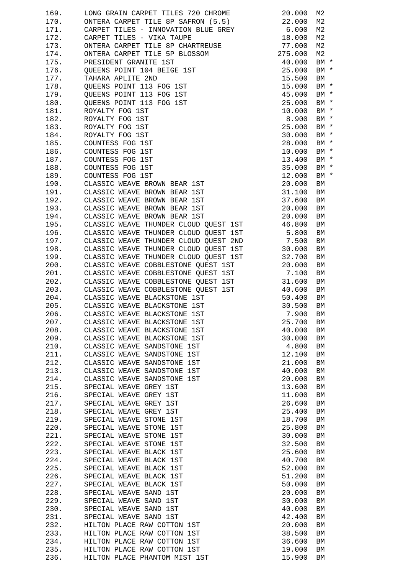| 169.         | LONG GRAIN CARPET TILES 720 CHROME                    | 20.000           | M <sub>2</sub>           |
|--------------|-------------------------------------------------------|------------------|--------------------------|
| 170.         | ONTERA CARPET TILE 8P SAFRON (5.5)                    | 22.000           | M <sub>2</sub>           |
| 171.         | CARPET TILES - INNOVATION BLUE GREY                   | 6.000            | M <sub>2</sub>           |
| 172.         | CARPET TILES - VIKA TAUPE                             | 18.000           | M <sub>2</sub>           |
| 173.         | ONTERA CARPET TILE 8P CHARTREUSE                      | 77.000           | M <sub>2</sub>           |
| 174.         | ONTERA CARPET TILE 5P BLOSSOM                         | 275.000          | M <sub>2</sub>           |
| 175.         | PRESIDENT GRANITE 1ST                                 | 40.000           | BM *                     |
| 176.         | QUEENS POINT 104 BEIGE 1ST                            | 25.000           | $BM *$                   |
| 177.         | TAHARA APLITE 2ND                                     | 15.500           | BM                       |
| 178.         | QUEENS POINT 113 FOG 1ST                              | 15.000           | $BM *$                   |
| 179.         | QUEENS POINT 113 FOG 1ST                              | 45.000           | BM *                     |
| 180.         | QUEENS POINT 113 FOG 1ST                              | 25.000           | $BM *$                   |
| 181.         | ROYALTY FOG 1ST                                       | 10.000           | BM $*$                   |
| 182.         | ROYALTY FOG 1ST                                       | 8.900            | $\text{BM} \ \ ^{\star}$ |
| 183.         | ROYALTY FOG 1ST                                       | 25.000           | $\text{BM}~^{\star}$     |
| 184.         | ROYALTY FOG 1ST                                       | 30.000           | $\text{BM}~^{\star}$     |
| 185.         | COUNTESS FOG 1ST                                      | 28.000           | $\text{BM} \ \ ^{\star}$ |
| 186.         | COUNTESS FOG 1ST                                      | 10.000           | $BM *$                   |
| 187.         | COUNTESS FOG 1ST                                      | 13.400           | $BM *$                   |
| 188.         | COUNTESS FOG 1ST                                      | 35.000           | $\text{BM}~^{\star}$     |
| 189.         | COUNTESS FOG 1ST                                      | 12.000           | BM $*$                   |
| 190.         | CLASSIC WEAVE BROWN BEAR 1ST                          | 20.000           | BM                       |
| 191.         | CLASSIC WEAVE BROWN BEAR 1ST                          | 31.100           | ${\rm BM}$               |
| 192.         | CLASSIC WEAVE BROWN BEAR 1ST                          | 37.600           | ${\rm BM}$               |
| 193.         | CLASSIC WEAVE BROWN BEAR 1ST                          | 20.000           | ${\rm BM}$               |
| 194.         | CLASSIC WEAVE BROWN BEAR 1ST                          | 20.000           | ${\rm BM}$               |
| 195.         | CLASSIC WEAVE THUNDER CLOUD QUEST 1ST                 | 46.800           | ${\rm BM}$               |
| 196.         | CLASSIC WEAVE THUNDER CLOUD QUEST 1ST                 | 5.800            | ${\rm BM}$               |
| 197.         | CLASSIC WEAVE THUNDER CLOUD QUEST 2ND                 | 7.500            | ${\rm BM}$               |
| 198.         | CLASSIC WEAVE THUNDER CLOUD QUEST 1ST                 | 30.000           | ${\rm BM}$               |
| 199.         | CLASSIC WEAVE THUNDER CLOUD QUEST 1ST                 | 32.700           | ${\rm BM}$               |
| 200.         | CLASSIC WEAVE COBBLESTONE QUEST 1ST                   | 20.000           | ${\rm BM}$               |
| 201.         | CLASSIC WEAVE COBBLESTONE QUEST 1ST                   | 7.100            | ${\rm BM}$               |
| 202.         | CLASSIC WEAVE COBBLESTONE QUEST 1ST                   | 31.600           | ${\rm BM}$               |
| 203.         | CLASSIC WEAVE COBBLESTONE QUEST 1ST                   | 40.600           | ${\rm BM}$               |
| 204.         | CLASSIC WEAVE BLACKSTONE 1ST                          | 50.400           | ${\rm BM}$               |
| 205.         | CLASSIC WEAVE BLACKSTONE 1ST                          | 30.500           | BM                       |
| 206.         | CLASSIC WEAVE BLACKSTONE 1ST                          | 7.900            | BM                       |
| 207.         | CLASSIC WEAVE BLACKSTONE 1ST                          | 25.700           | BM                       |
| 208.         | CLASSIC WEAVE BLACKSTONE 1ST                          | 40.000           | ${\rm BM}$               |
| 209.         | CLASSIC WEAVE BLACKSTONE 1ST                          | 30.000           | BM                       |
| 210.         | CLASSIC WEAVE SANDSTONE 1ST                           | 4.800            | BM                       |
| 211.         | CLASSIC WEAVE SANDSTONE 1ST                           | 12.100           | BM                       |
| 212.         | CLASSIC WEAVE SANDSTONE 1ST                           | 21.000           | ${\rm BM}$               |
| 213.<br>214. | CLASSIC WEAVE SANDSTONE 1ST                           | 40.000           | BM<br><b>BM</b>          |
| 215.         | CLASSIC WEAVE SANDSTONE 1ST<br>SPECIAL WEAVE GREY 1ST | 20.000<br>13.600 | ${\rm BM}$               |
| 216.         | SPECIAL WEAVE GREY 1ST                                | 11.000           | ${\rm BM}$               |
| 217.         | SPECIAL WEAVE GREY 1ST                                | 26.600           | <b>BM</b>                |
| 218.         | SPECIAL WEAVE GREY 1ST                                | 25.400           | <b>BM</b>                |
| 219.         | SPECIAL WEAVE STONE 1ST                               | 18.700           | <b>BM</b>                |
| 220.         | SPECIAL WEAVE STONE 1ST                               | 25.800           | <b>BM</b>                |
| 221.         | SPECIAL WEAVE STONE 1ST                               | 30.000           | <b>BM</b>                |
| 222.         | SPECIAL WEAVE STONE 1ST                               | 32.500           | <b>BM</b>                |
| 223.         | SPECIAL WEAVE BLACK 1ST                               | 25.600           | <b>BM</b>                |
| 224.         | SPECIAL WEAVE BLACK 1ST                               | 40.700           | ${\rm BM}$               |
| 225.         | SPECIAL WEAVE BLACK 1ST                               | 52.000           | ${\rm BM}$               |
| 226.         | SPECIAL WEAVE BLACK 1ST                               | 51.200           | ${\rm BM}$               |
| 227.         | SPECIAL WEAVE BLACK 1ST                               | 50.000           | BM                       |
| 228.         | SPECIAL WEAVE SAND 1ST                                | 20.000           | BM                       |
| 229.         | SPECIAL WEAVE SAND 1ST                                | 30.000           | BM                       |
| 230.         | SPECIAL WEAVE SAND 1ST                                | 40.000           | BM                       |
| 231.         | SPECIAL WEAVE SAND 1ST                                | 42.400           | BM                       |
| 232.         | HILTON PLACE RAW COTTON 1ST                           | 20.000           | BM                       |
| 233.         | HILTON PLACE RAW COTTON 1ST                           | 38.500           | BM                       |
| 234.         | HILTON PLACE RAW COTTON 1ST                           | 36.600           | BM                       |
| 235.         | HILTON PLACE RAW COTTON 1ST                           | 19.000           | BM                       |
| 236.         | HILTON PLACE PHANTOM MIST 1ST                         | 15.900           | BM                       |